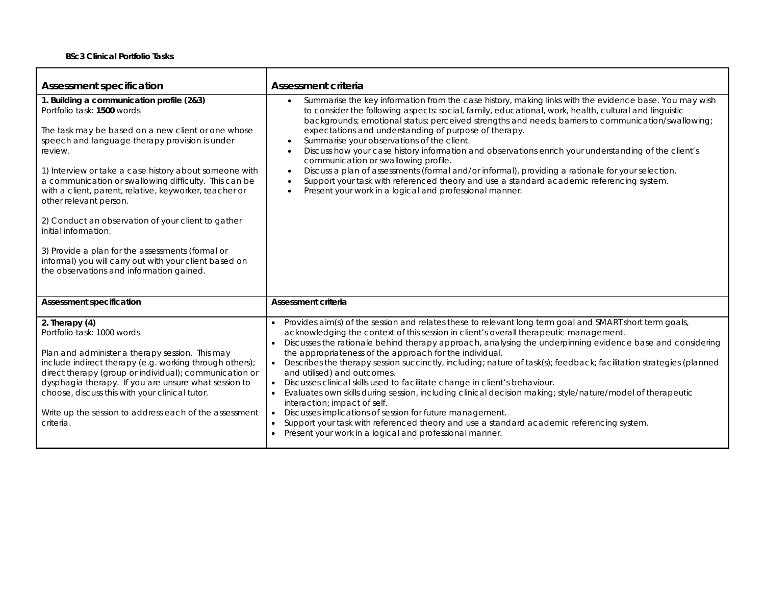| <b>Assessment specification</b>                                                                                                                                                                                                                                                                                                                                                                                                                                                                                                                                                                                                           | <b>Assessment criteria</b>                                                                                                                                                                                                                                                                                                                                                                                                                                                                                                                                                                                                                                                                                                                                                                                                                                                                                                                                                   |
|-------------------------------------------------------------------------------------------------------------------------------------------------------------------------------------------------------------------------------------------------------------------------------------------------------------------------------------------------------------------------------------------------------------------------------------------------------------------------------------------------------------------------------------------------------------------------------------------------------------------------------------------|------------------------------------------------------------------------------------------------------------------------------------------------------------------------------------------------------------------------------------------------------------------------------------------------------------------------------------------------------------------------------------------------------------------------------------------------------------------------------------------------------------------------------------------------------------------------------------------------------------------------------------------------------------------------------------------------------------------------------------------------------------------------------------------------------------------------------------------------------------------------------------------------------------------------------------------------------------------------------|
| 1. Building a communication profile (2&3)<br>Portfolio task: 1500 words<br>The task may be based on a new client or one whose<br>speech and language therapy provision is under<br>review.<br>1) Interview or take a case history about someone with<br>a communication or swallowing difficulty. This can be<br>with a client, parent, relative, keyworker, teacher or<br>other relevant person.<br>2) Conduct an observation of your client to gather<br>initial information.<br>3) Provide a plan for the assessments (formal or<br>informal) you will carry out with your client based on<br>the observations and information gained. | Summarise the key information from the case history, making links with the evidence base. You may wish<br>$\bullet$<br>to consider the following aspects: social, family, educational, work, health, cultural and linguistic<br>backgrounds; emotional status; perceived strengths and needs; barriers to communication/swallowing;<br>expectations and understanding of purpose of therapy.<br>Summarise your observations of the client.<br>Discuss how your case history information and observations enrich your understanding of the client's<br>$\bullet$<br>communication or swallowing profile.<br>Discuss a plan of assessments (formal and/or informal), providing a rationale for your selection.<br>$\bullet$<br>Support your task with referenced theory and use a standard academic referencing system.<br>Present your work in a logical and professional manner.                                                                                             |
| <b>Assessment specification</b>                                                                                                                                                                                                                                                                                                                                                                                                                                                                                                                                                                                                           | <b>Assessment criteria</b>                                                                                                                                                                                                                                                                                                                                                                                                                                                                                                                                                                                                                                                                                                                                                                                                                                                                                                                                                   |
| 2. Therapy $(4)$<br>Portfolio task: 1000 words<br>Plan and administer a therapy session. This may<br>include indirect therapy (e.g. working through others);<br>direct therapy (group or individual); communication or<br>dysphagia therapy. If you are unsure what session to<br>choose, discuss this with your clinical tutor.<br>Write up the session to address each of the assessment<br>criteria.                                                                                                                                                                                                                                   | Provides aim(s) of the session and relates these to relevant long term goal and SMART short term goals,<br>acknowledging the context of this session in client's overall therapeutic management.<br>Discusses the rationale behind therapy approach, analysing the underpinning evidence base and considering<br>the appropriateness of the approach for the individual.<br>Describes the therapy session succinctly, including; nature of task(s); feedback; facilitation strategies (planned<br>and utilised) and outcomes.<br>Discusses clinical skills used to facilitate change in client's behaviour.<br>Evaluates own skills during session, including clinical decision making; style/nature/model of therapeutic<br>interaction; impact of self.<br>Discusses implications of session for future management.<br>Support your task with referenced theory and use a standard academic referencing system.<br>Present your work in a logical and professional manner. |